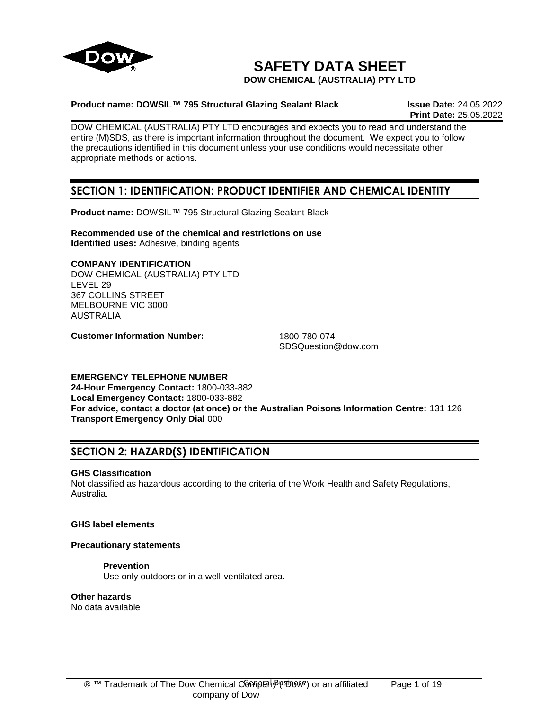

# **SAFETY DATA SHEET**

**DOW CHEMICAL (AUSTRALIA) PTY LTD**

## **Product name: DOWSIL™ 795 Structural Glazing Sealant Black Issue Date:** 24.05.2022

**Print Date:** 25.05.2022

DOW CHEMICAL (AUSTRALIA) PTY LTD encourages and expects you to read and understand the entire (M)SDS, as there is important information throughout the document. We expect you to follow the precautions identified in this document unless your use conditions would necessitate other appropriate methods or actions.

# **SECTION 1: IDENTIFICATION: PRODUCT IDENTIFIER AND CHEMICAL IDENTITY**

**Product name:** DOWSIL™ 795 Structural Glazing Sealant Black

**Recommended use of the chemical and restrictions on use Identified uses:** Adhesive, binding agents

## **COMPANY IDENTIFICATION**

DOW CHEMICAL (AUSTRALIA) PTY LTD LEVEL 29 367 COLLINS STREET MELBOURNE VIC 3000 AUSTRALIA

**Customer Information Number:** 1800-780-074

SDSQuestion@dow.com

## **EMERGENCY TELEPHONE NUMBER**

**24-Hour Emergency Contact:** 1800-033-882 **Local Emergency Contact:** 1800-033-882 **For advice, contact a doctor (at once) or the Australian Poisons Information Centre:** 131 126 **Transport Emergency Only Dial** 000

# **SECTION 2: HAZARD(S) IDENTIFICATION**

## **GHS Classification**

Not classified as hazardous according to the criteria of the Work Health and Safety Regulations, Australia.

## **GHS label elements**

## **Precautionary statements**

## **Prevention**

Use only outdoors or in a well-ventilated area.

## **Other hazards**

No data available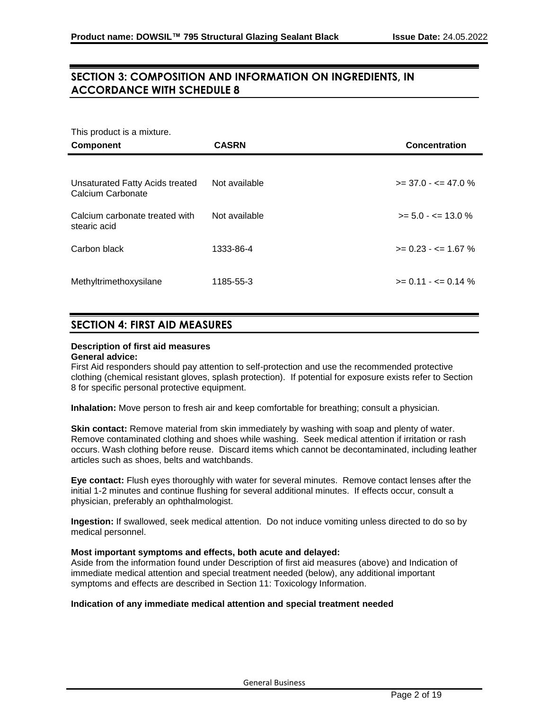# **SECTION 3: COMPOSITION AND INFORMATION ON INGREDIENTS, IN ACCORDANCE WITH SCHEDULE 8**

This product is a mixture.

| <b>Component</b>                                     | <b>CASRN</b>  | Concentration                 |
|------------------------------------------------------|---------------|-------------------------------|
|                                                      |               |                               |
| Unsaturated Fatty Acids treated<br>Calcium Carbonate | Not available | $>= 37.0 - 5 = 47.0$ %        |
| Calcium carbonate treated with<br>stearic acid       | Not available | $>= 5.0 - \le 13.0 \%$        |
| Carbon black                                         | 1333-86-4     | $>= 0.23 - \epsilon = 1.67$ % |
| Methyltrimethoxysilane                               | 1185-55-3     | $>= 0.11 - \le 0.14 \%$       |

# **SECTION 4: FIRST AID MEASURES**

## **Description of first aid measures**

## **General advice:**

First Aid responders should pay attention to self-protection and use the recommended protective clothing (chemical resistant gloves, splash protection). If potential for exposure exists refer to Section 8 for specific personal protective equipment.

**Inhalation:** Move person to fresh air and keep comfortable for breathing; consult a physician.

**Skin contact:** Remove material from skin immediately by washing with soap and plenty of water. Remove contaminated clothing and shoes while washing. Seek medical attention if irritation or rash occurs. Wash clothing before reuse. Discard items which cannot be decontaminated, including leather articles such as shoes, belts and watchbands.

**Eye contact:** Flush eyes thoroughly with water for several minutes. Remove contact lenses after the initial 1-2 minutes and continue flushing for several additional minutes. If effects occur, consult a physician, preferably an ophthalmologist.

**Ingestion:** If swallowed, seek medical attention. Do not induce vomiting unless directed to do so by medical personnel.

## **Most important symptoms and effects, both acute and delayed:**

Aside from the information found under Description of first aid measures (above) and Indication of immediate medical attention and special treatment needed (below), any additional important symptoms and effects are described in Section 11: Toxicology Information.

## **Indication of any immediate medical attention and special treatment needed**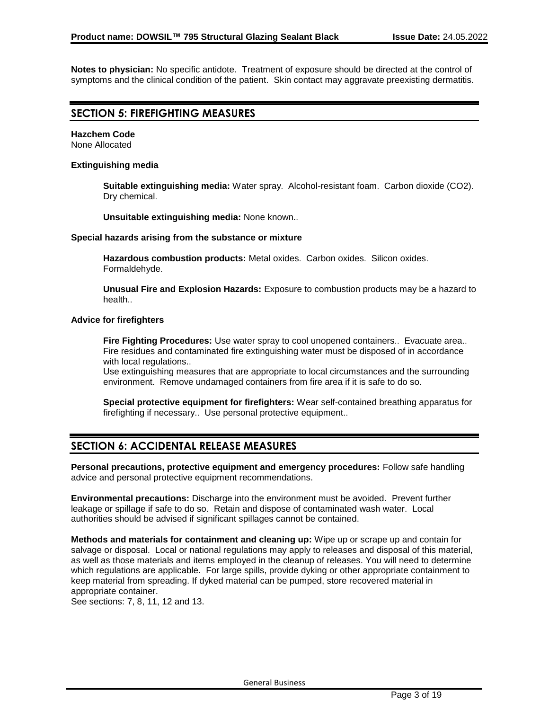**Notes to physician:** No specific antidote. Treatment of exposure should be directed at the control of symptoms and the clinical condition of the patient. Skin contact may aggravate preexisting dermatitis.

## **SECTION 5: FIREFIGHTING MEASURES**

#### **Hazchem Code** None Allocated

## **Extinguishing media**

**Suitable extinguishing media:** Water spray. Alcohol-resistant foam. Carbon dioxide (CO2). Dry chemical.

**Unsuitable extinguishing media:** None known..

## **Special hazards arising from the substance or mixture**

**Hazardous combustion products:** Metal oxides. Carbon oxides. Silicon oxides. Formaldehyde.

**Unusual Fire and Explosion Hazards:** Exposure to combustion products may be a hazard to health..

## **Advice for firefighters**

**Fire Fighting Procedures:** Use water spray to cool unopened containers.. Evacuate area.. Fire residues and contaminated fire extinguishing water must be disposed of in accordance with local regulations..

Use extinguishing measures that are appropriate to local circumstances and the surrounding environment. Remove undamaged containers from fire area if it is safe to do so.

**Special protective equipment for firefighters:** Wear self-contained breathing apparatus for firefighting if necessary.. Use personal protective equipment..

## **SECTION 6: ACCIDENTAL RELEASE MEASURES**

**Personal precautions, protective equipment and emergency procedures:** Follow safe handling advice and personal protective equipment recommendations.

**Environmental precautions:** Discharge into the environment must be avoided. Prevent further leakage or spillage if safe to do so. Retain and dispose of contaminated wash water. Local authorities should be advised if significant spillages cannot be contained.

**Methods and materials for containment and cleaning up:** Wipe up or scrape up and contain for salvage or disposal. Local or national regulations may apply to releases and disposal of this material, as well as those materials and items employed in the cleanup of releases. You will need to determine which regulations are applicable. For large spills, provide dyking or other appropriate containment to keep material from spreading. If dyked material can be pumped, store recovered material in appropriate container.

See sections: 7, 8, 11, 12 and 13.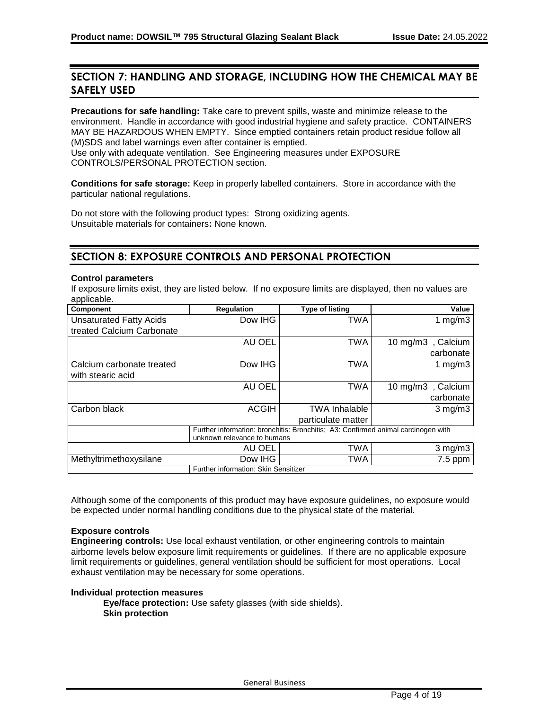# **SECTION 7: HANDLING AND STORAGE, INCLUDING HOW THE CHEMICAL MAY BE SAFELY USED**

**Precautions for safe handling:** Take care to prevent spills, waste and minimize release to the environment. Handle in accordance with good industrial hygiene and safety practice. CONTAINERS MAY BE HAZARDOUS WHEN EMPTY. Since emptied containers retain product residue follow all (M)SDS and label warnings even after container is emptied.

Use only with adequate ventilation. See Engineering measures under EXPOSURE CONTROLS/PERSONAL PROTECTION section.

**Conditions for safe storage:** Keep in properly labelled containers. Store in accordance with the particular national regulations.

Do not store with the following product types: Strong oxidizing agents. Unsuitable materials for containers**:** None known.

# **SECTION 8: EXPOSURE CONTROLS AND PERSONAL PROTECTION**

## **Control parameters**

If exposure limits exist, they are listed below. If no exposure limits are displayed, then no values are applicable.

| Component                      | <b>Regulation</b>                                                                 | <b>Type of listing</b> | Value             |
|--------------------------------|-----------------------------------------------------------------------------------|------------------------|-------------------|
| <b>Unsaturated Fatty Acids</b> | Dow IHG                                                                           | <b>TWA</b>             | 1 $mg/m3$         |
| treated Calcium Carbonate      |                                                                                   |                        |                   |
|                                | AU OEL                                                                            | <b>TWA</b>             | 10 mg/m3, Calcium |
|                                |                                                                                   |                        | carbonate         |
| Calcium carbonate treated      | Dow IHG                                                                           | TWA                    | 1 $mg/m3$         |
| with stearic acid              |                                                                                   |                        |                   |
|                                | AU OEL                                                                            | TWA                    | 10 mg/m3, Calcium |
|                                |                                                                                   |                        | carbonate         |
| Carbon black                   | <b>ACGIH</b>                                                                      | <b>TWA Inhalable</b>   | $3$ mg/m $3$      |
|                                |                                                                                   | particulate matter     |                   |
|                                | Further information: bronchitis: Bronchitis: A3: Confirmed animal carcinogen with |                        |                   |
|                                | unknown relevance to humans                                                       |                        |                   |
|                                | AU OEL                                                                            | TWA                    | $3$ mg/m $3$      |
| Methyltrimethoxysilane         | Dow IHG                                                                           | TWA                    | $7.5$ ppm         |
|                                | Further information: Skin Sensitizer                                              |                        |                   |

Although some of the components of this product may have exposure guidelines, no exposure would be expected under normal handling conditions due to the physical state of the material.

## **Exposure controls**

**Engineering controls:** Use local exhaust ventilation, or other engineering controls to maintain airborne levels below exposure limit requirements or guidelines. If there are no applicable exposure limit requirements or guidelines, general ventilation should be sufficient for most operations. Local exhaust ventilation may be necessary for some operations.

## **Individual protection measures**

**Eye/face protection:** Use safety glasses (with side shields). **Skin protection**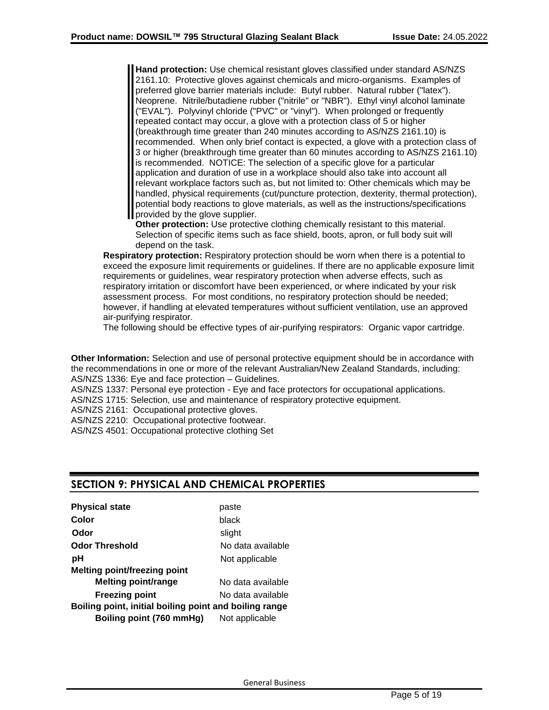**Hand protection:** Use chemical resistant gloves classified under standard AS/NZS 2161.10: Protective gloves against chemicals and micro-organisms. Examples of preferred glove barrier materials include: Butyl rubber. Natural rubber ("latex"). Neoprene. Nitrile/butadiene rubber ("nitrile" or "NBR"). Ethyl vinyl alcohol laminate ("EVAL"). Polyvinyl chloride ("PVC" or "vinyl"). When prolonged or frequently repeated contact may occur, a glove with a protection class of 5 or higher (breakthrough time greater than 240 minutes according to AS/NZS 2161.10) is recommended. When only brief contact is expected, a glove with a protection class of 3 or higher (breakthrough time greater than 60 minutes according to AS/NZS 2161.10) is recommended. NOTICE: The selection of a specific glove for a particular application and duration of use in a workplace should also take into account all relevant workplace factors such as, but not limited to: Other chemicals which may be handled, physical requirements (cut/puncture protection, dexterity, thermal protection), potential body reactions to glove materials, as well as the instructions/specifications provided by the glove supplier.

**Other protection:** Use protective clothing chemically resistant to this material. Selection of specific items such as face shield, boots, apron, or full body suit will depend on the task.

**Respiratory protection:** Respiratory protection should be worn when there is a potential to exceed the exposure limit requirements or guidelines. If there are no applicable exposure limit requirements or guidelines, wear respiratory protection when adverse effects, such as respiratory irritation or discomfort have been experienced, or where indicated by your risk assessment process. For most conditions, no respiratory protection should be needed; however, if handling at elevated temperatures without sufficient ventilation, use an approved air-purifying respirator.

The following should be effective types of air-purifying respirators: Organic vapor cartridge.

**Other Information:** Selection and use of personal protective equipment should be in accordance with the recommendations in one or more of the relevant Australian/New Zealand Standards, including: AS/NZS 1336: Eye and face protection – Guidelines.

AS/NZS 1337: Personal eye protection - Eye and face protectors for occupational applications.

AS/NZS 1715: Selection, use and maintenance of respiratory protective equipment.

AS/NZS 2161: Occupational protective gloves.

AS/NZS 2210: Occupational protective footwear.

AS/NZS 4501: Occupational protective clothing Set

## **SECTION 9: PHYSICAL AND CHEMICAL PROPERTIES**

| <b>Physical state</b>                                  | paste             |
|--------------------------------------------------------|-------------------|
| Color                                                  | black             |
| Odor                                                   | slight            |
| <b>Odor Threshold</b>                                  | No data available |
| рH                                                     | Not applicable    |
| <b>Melting point/freezing point</b>                    |                   |
| <b>Melting point/range</b>                             | No data available |
| <b>Freezing point</b>                                  | No data available |
| Boiling point, initial boiling point and boiling range |                   |
| Boiling point (760 mmHg)                               | Not applicable    |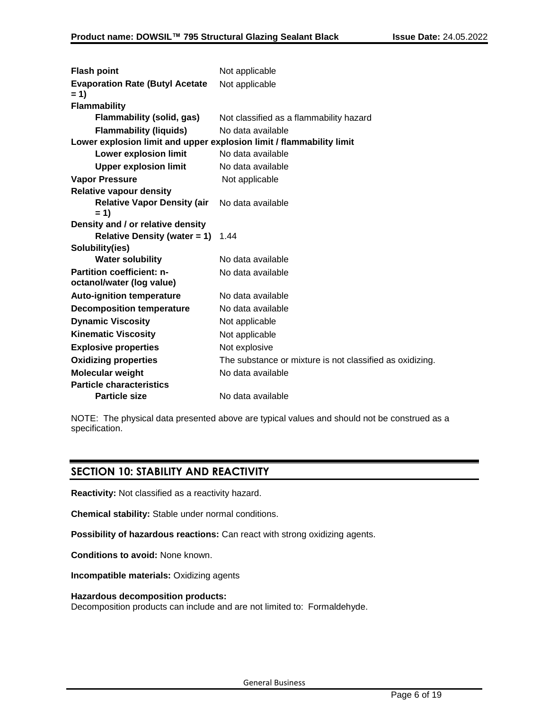| <b>Flash point</b>                                                   | Not applicable                                           |
|----------------------------------------------------------------------|----------------------------------------------------------|
| <b>Evaporation Rate (Butyl Acetate</b>                               | Not applicable                                           |
| $= 1$                                                                |                                                          |
| <b>Flammability</b>                                                  |                                                          |
| Flammability (solid, gas)                                            | Not classified as a flammability hazard                  |
| <b>Flammability (liquids)</b>                                        | No data available                                        |
| Lower explosion limit and upper explosion limit / flammability limit |                                                          |
| <b>Lower explosion limit</b>                                         | No data available                                        |
| <b>Upper explosion limit</b>                                         | No data available                                        |
| <b>Vapor Pressure</b>                                                | Not applicable                                           |
| <b>Relative vapour density</b>                                       |                                                          |
| <b>Relative Vapor Density (air</b><br>$= 1$                          | No data available                                        |
| Density and / or relative density                                    |                                                          |
| Relative Density (water = 1) $1.44$                                  |                                                          |
| Solubility(ies)                                                      |                                                          |
| <b>Water solubility</b>                                              | No data available                                        |
| <b>Partition coefficient: n-</b><br>octanol/water (log value)        | No data available                                        |
| <b>Auto-ignition temperature</b>                                     | No data available                                        |
| <b>Decomposition temperature</b>                                     | No data available                                        |
| <b>Dynamic Viscosity</b>                                             | Not applicable                                           |
| <b>Kinematic Viscosity</b>                                           | Not applicable                                           |
| <b>Explosive properties</b>                                          | Not explosive                                            |
| <b>Oxidizing properties</b>                                          | The substance or mixture is not classified as oxidizing. |
| <b>Molecular weight</b>                                              | No data available                                        |
| <b>Particle characteristics</b>                                      |                                                          |
| <b>Particle size</b>                                                 | No data available                                        |
|                                                                      |                                                          |

NOTE: The physical data presented above are typical values and should not be construed as a specification.

# **SECTION 10: STABILITY AND REACTIVITY**

**Reactivity:** Not classified as a reactivity hazard.

**Chemical stability:** Stable under normal conditions.

**Possibility of hazardous reactions:** Can react with strong oxidizing agents.

**Conditions to avoid:** None known.

**Incompatible materials:** Oxidizing agents

#### **Hazardous decomposition products:**

Decomposition products can include and are not limited to: Formaldehyde.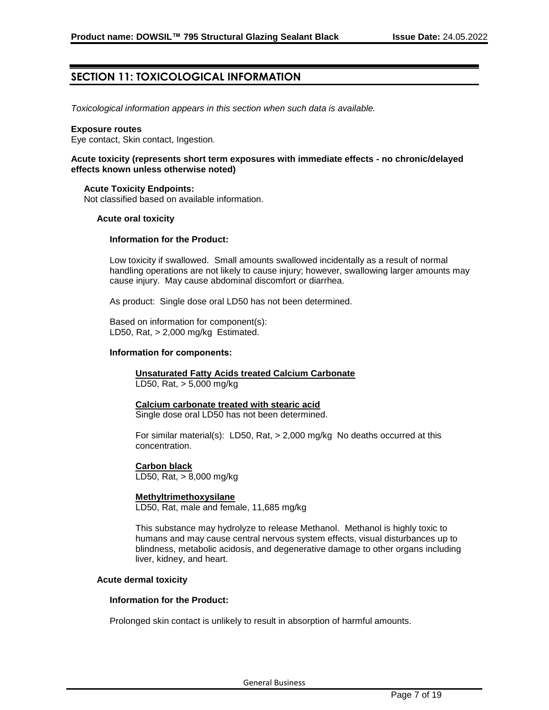# **SECTION 11: TOXICOLOGICAL INFORMATION**

*Toxicological information appears in this section when such data is available.*

## **Exposure routes**

Eye contact, Skin contact, Ingestion.

## **Acute toxicity (represents short term exposures with immediate effects - no chronic/delayed effects known unless otherwise noted)**

## **Acute Toxicity Endpoints:**

Not classified based on available information.

## **Acute oral toxicity**

## **Information for the Product:**

Low toxicity if swallowed. Small amounts swallowed incidentally as a result of normal handling operations are not likely to cause injury; however, swallowing larger amounts may cause injury. May cause abdominal discomfort or diarrhea.

As product: Single dose oral LD50 has not been determined.

Based on information for component(s): LD50, Rat, > 2,000 mg/kg Estimated.

## **Information for components:**

**Unsaturated Fatty Acids treated Calcium Carbonate** LD50, Rat, > 5,000 mg/kg

# **Calcium carbonate treated with stearic acid**

Single dose oral LD50 has not been determined.

For similar material(s): LD50, Rat, > 2,000 mg/kg No deaths occurred at this concentration.

## **Carbon black**

LD50, Rat, > 8,000 mg/kg

#### **Methyltrimethoxysilane**

LD50, Rat, male and female, 11,685 mg/kg

This substance may hydrolyze to release Methanol. Methanol is highly toxic to humans and may cause central nervous system effects, visual disturbances up to blindness, metabolic acidosis, and degenerative damage to other organs including liver, kidney, and heart.

#### **Acute dermal toxicity**

#### **Information for the Product:**

Prolonged skin contact is unlikely to result in absorption of harmful amounts.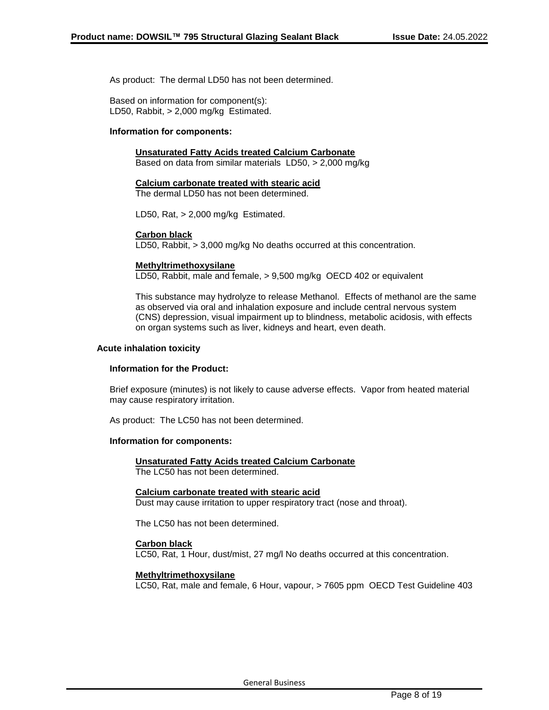As product: The dermal LD50 has not been determined.

Based on information for component(s): LD50, Rabbit, > 2,000 mg/kg Estimated.

## **Information for components:**

## **Unsaturated Fatty Acids treated Calcium Carbonate**

Based on data from similar materials LD50, > 2,000 mg/kg

#### **Calcium carbonate treated with stearic acid**

The dermal LD50 has not been determined.

LD50, Rat, > 2,000 mg/kg Estimated.

## **Carbon black**

LD50, Rabbit, > 3,000 mg/kg No deaths occurred at this concentration.

## **Methyltrimethoxysilane**

LD50, Rabbit, male and female, > 9,500 mg/kg OECD 402 or equivalent

This substance may hydrolyze to release Methanol. Effects of methanol are the same as observed via oral and inhalation exposure and include central nervous system (CNS) depression, visual impairment up to blindness, metabolic acidosis, with effects on organ systems such as liver, kidneys and heart, even death.

## **Acute inhalation toxicity**

#### **Information for the Product:**

Brief exposure (minutes) is not likely to cause adverse effects. Vapor from heated material may cause respiratory irritation.

As product: The LC50 has not been determined.

#### **Information for components:**

#### **Unsaturated Fatty Acids treated Calcium Carbonate** The LC50 has not been determined.

## **Calcium carbonate treated with stearic acid**

Dust may cause irritation to upper respiratory tract (nose and throat).

The LC50 has not been determined.

#### **Carbon black**

LC50, Rat, 1 Hour, dust/mist, 27 mg/l No deaths occurred at this concentration.

## **Methyltrimethoxysilane**

LC50, Rat, male and female, 6 Hour, vapour, > 7605 ppm OECD Test Guideline 403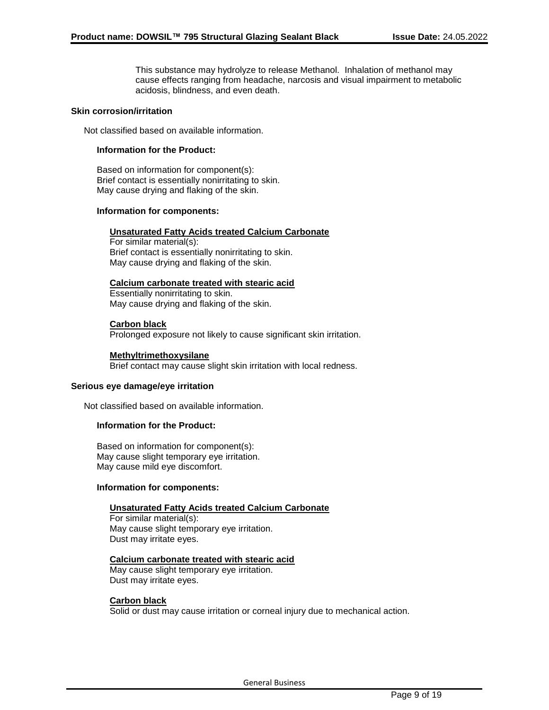This substance may hydrolyze to release Methanol. Inhalation of methanol may cause effects ranging from headache, narcosis and visual impairment to metabolic acidosis, blindness, and even death.

## **Skin corrosion/irritation**

Not classified based on available information.

## **Information for the Product:**

Based on information for component(s): Brief contact is essentially nonirritating to skin. May cause drying and flaking of the skin.

## **Information for components:**

## **Unsaturated Fatty Acids treated Calcium Carbonate**

For similar material(s): Brief contact is essentially nonirritating to skin. May cause drying and flaking of the skin.

## **Calcium carbonate treated with stearic acid**

Essentially nonirritating to skin. May cause drying and flaking of the skin.

## **Carbon black**

Prolonged exposure not likely to cause significant skin irritation.

## **Methyltrimethoxysilane**

Brief contact may cause slight skin irritation with local redness.

#### **Serious eye damage/eye irritation**

Not classified based on available information.

## **Information for the Product:**

Based on information for component(s): May cause slight temporary eye irritation. May cause mild eye discomfort.

## **Information for components:**

## **Unsaturated Fatty Acids treated Calcium Carbonate**

For similar material(s): May cause slight temporary eye irritation. Dust may irritate eyes.

## **Calcium carbonate treated with stearic acid**

May cause slight temporary eye irritation. Dust may irritate eyes.

#### **Carbon black**

Solid or dust may cause irritation or corneal injury due to mechanical action.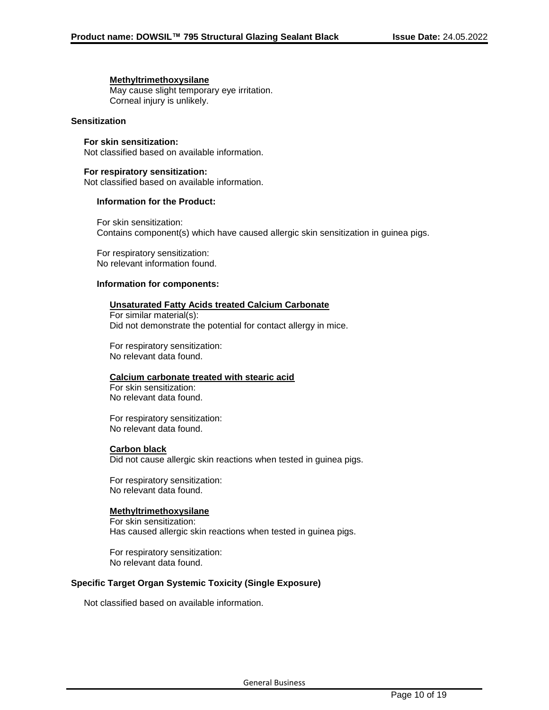## **Methyltrimethoxysilane**

May cause slight temporary eye irritation. Corneal injury is unlikely.

## **Sensitization**

## **For skin sensitization:**

Not classified based on available information.

## **For respiratory sensitization:**

Not classified based on available information.

## **Information for the Product:**

For skin sensitization: Contains component(s) which have caused allergic skin sensitization in guinea pigs.

For respiratory sensitization: No relevant information found.

## **Information for components:**

## **Unsaturated Fatty Acids treated Calcium Carbonate**

For similar material(s): Did not demonstrate the potential for contact allergy in mice.

For respiratory sensitization: No relevant data found.

## **Calcium carbonate treated with stearic acid**

For skin sensitization: No relevant data found.

For respiratory sensitization: No relevant data found.

## **Carbon black**

Did not cause allergic skin reactions when tested in guinea pigs.

For respiratory sensitization: No relevant data found.

#### **Methyltrimethoxysilane**

For skin sensitization: Has caused allergic skin reactions when tested in guinea pigs.

For respiratory sensitization: No relevant data found.

## **Specific Target Organ Systemic Toxicity (Single Exposure)**

Not classified based on available information.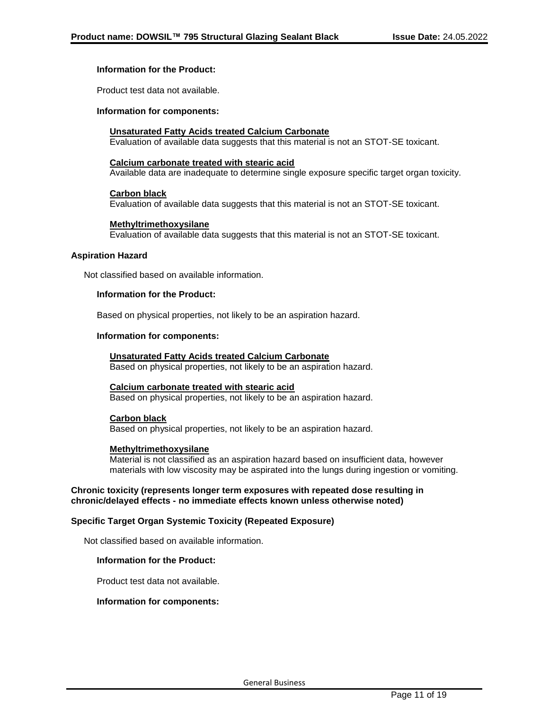## **Information for the Product:**

Product test data not available.

#### **Information for components:**

## **Unsaturated Fatty Acids treated Calcium Carbonate**

Evaluation of available data suggests that this material is not an STOT-SE toxicant.

## **Calcium carbonate treated with stearic acid**

Available data are inadequate to determine single exposure specific target organ toxicity.

#### **Carbon black**

Evaluation of available data suggests that this material is not an STOT-SE toxicant.

## **Methyltrimethoxysilane**

Evaluation of available data suggests that this material is not an STOT-SE toxicant.

## **Aspiration Hazard**

Not classified based on available information.

## **Information for the Product:**

Based on physical properties, not likely to be an aspiration hazard.

## **Information for components:**

#### **Unsaturated Fatty Acids treated Calcium Carbonate**

Based on physical properties, not likely to be an aspiration hazard.

#### **Calcium carbonate treated with stearic acid**

Based on physical properties, not likely to be an aspiration hazard.

## **Carbon black**

Based on physical properties, not likely to be an aspiration hazard.

#### **Methyltrimethoxysilane**

Material is not classified as an aspiration hazard based on insufficient data, however materials with low viscosity may be aspirated into the lungs during ingestion or vomiting.

## **Chronic toxicity (represents longer term exposures with repeated dose resulting in chronic/delayed effects - no immediate effects known unless otherwise noted)**

## **Specific Target Organ Systemic Toxicity (Repeated Exposure)**

Not classified based on available information.

## **Information for the Product:**

Product test data not available.

#### **Information for components:**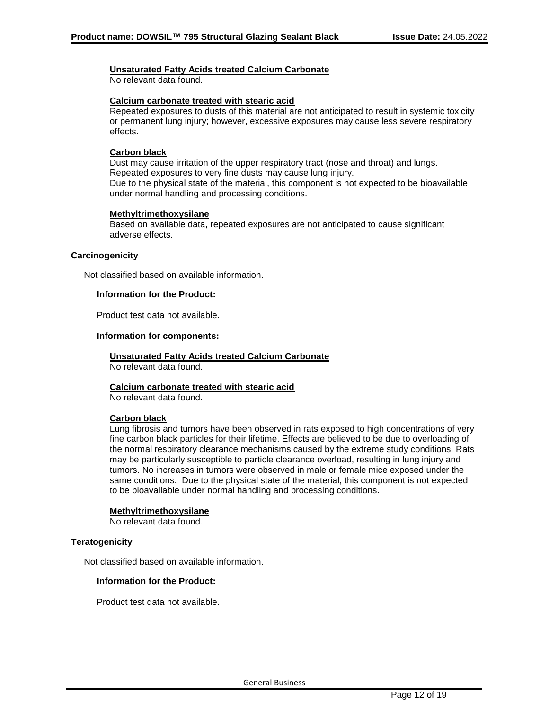## **Unsaturated Fatty Acids treated Calcium Carbonate**

No relevant data found.

## **Calcium carbonate treated with stearic acid**

Repeated exposures to dusts of this material are not anticipated to result in systemic toxicity or permanent lung injury; however, excessive exposures may cause less severe respiratory effects.

## **Carbon black**

Dust may cause irritation of the upper respiratory tract (nose and throat) and lungs. Repeated exposures to very fine dusts may cause lung injury. Due to the physical state of the material, this component is not expected to be bioavailable under normal handling and processing conditions.

## **Methyltrimethoxysilane**

Based on available data, repeated exposures are not anticipated to cause significant adverse effects.

## **Carcinogenicity**

Not classified based on available information.

## **Information for the Product:**

Product test data not available.

## **Information for components:**

# **Unsaturated Fatty Acids treated Calcium Carbonate**

No relevant data found.

## **Calcium carbonate treated with stearic acid**

No relevant data found.

## **Carbon black**

Lung fibrosis and tumors have been observed in rats exposed to high concentrations of very fine carbon black particles for their lifetime. Effects are believed to be due to overloading of the normal respiratory clearance mechanisms caused by the extreme study conditions. Rats may be particularly susceptible to particle clearance overload, resulting in lung injury and tumors. No increases in tumors were observed in male or female mice exposed under the same conditions. Due to the physical state of the material, this component is not expected to be bioavailable under normal handling and processing conditions.

#### **Methyltrimethoxysilane**

No relevant data found.

## **Teratogenicity**

Not classified based on available information.

#### **Information for the Product:**

Product test data not available.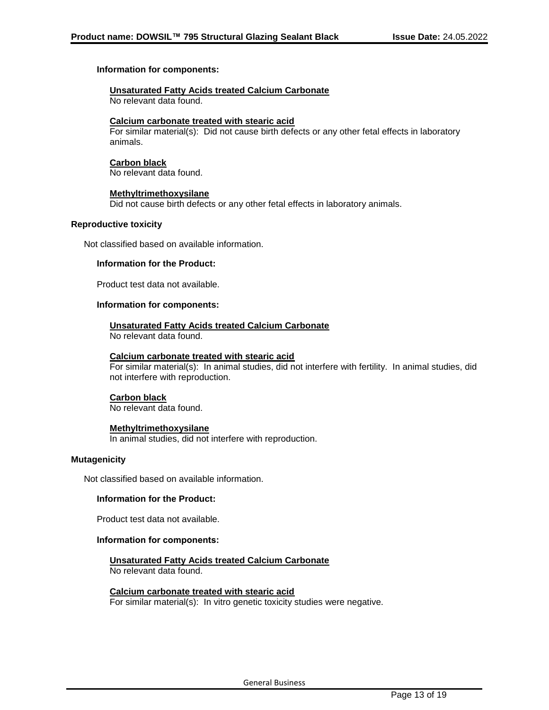## **Information for components:**

## **Unsaturated Fatty Acids treated Calcium Carbonate**

No relevant data found.

## **Calcium carbonate treated with stearic acid**

For similar material(s): Did not cause birth defects or any other fetal effects in laboratory animals.

## **Carbon black**

No relevant data found.

## **Methyltrimethoxysilane**

Did not cause birth defects or any other fetal effects in laboratory animals.

## **Reproductive toxicity**

Not classified based on available information.

## **Information for the Product:**

Product test data not available.

## **Information for components:**

## **Unsaturated Fatty Acids treated Calcium Carbonate**

No relevant data found.

#### **Calcium carbonate treated with stearic acid**

For similar material(s): In animal studies, did not interfere with fertility. In animal studies, did not interfere with reproduction.

## **Carbon black**

No relevant data found.

## **Methyltrimethoxysilane**

In animal studies, did not interfere with reproduction.

## **Mutagenicity**

Not classified based on available information.

## **Information for the Product:**

Product test data not available.

## **Information for components:**

#### **Unsaturated Fatty Acids treated Calcium Carbonate** No relevant data found.

**Calcium carbonate treated with stearic acid**

For similar material(s): In vitro genetic toxicity studies were negative.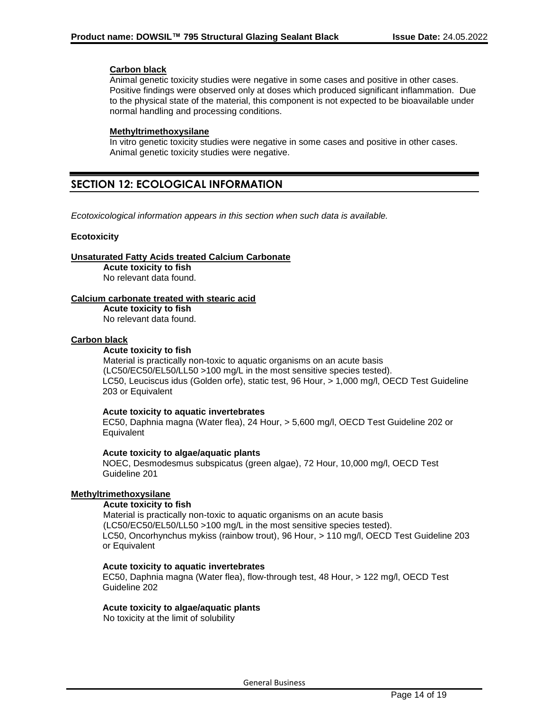## **Carbon black**

Animal genetic toxicity studies were negative in some cases and positive in other cases. Positive findings were observed only at doses which produced significant inflammation. Due to the physical state of the material, this component is not expected to be bioavailable under normal handling and processing conditions.

## **Methyltrimethoxysilane**

In vitro genetic toxicity studies were negative in some cases and positive in other cases. Animal genetic toxicity studies were negative.

# **SECTION 12: ECOLOGICAL INFORMATION**

*Ecotoxicological information appears in this section when such data is available.*

## **Ecotoxicity**

**Unsaturated Fatty Acids treated Calcium Carbonate**

**Acute toxicity to fish** No relevant data found.

## **Calcium carbonate treated with stearic acid**

**Acute toxicity to fish** No relevant data found.

## **Carbon black**

## **Acute toxicity to fish**

Material is practically non-toxic to aquatic organisms on an acute basis (LC50/EC50/EL50/LL50 >100 mg/L in the most sensitive species tested). LC50, Leuciscus idus (Golden orfe), static test, 96 Hour, > 1,000 mg/l, OECD Test Guideline 203 or Equivalent

## **Acute toxicity to aquatic invertebrates**

EC50, Daphnia magna (Water flea), 24 Hour, > 5,600 mg/l, OECD Test Guideline 202 or **Equivalent** 

## **Acute toxicity to algae/aquatic plants**

NOEC, Desmodesmus subspicatus (green algae), 72 Hour, 10,000 mg/l, OECD Test Guideline 201

## **Methyltrimethoxysilane**

## **Acute toxicity to fish**

Material is practically non-toxic to aquatic organisms on an acute basis (LC50/EC50/EL50/LL50 >100 mg/L in the most sensitive species tested). LC50, Oncorhynchus mykiss (rainbow trout), 96 Hour, > 110 mg/l, OECD Test Guideline 203 or Equivalent

## **Acute toxicity to aquatic invertebrates**

EC50, Daphnia magna (Water flea), flow-through test, 48 Hour, > 122 mg/l, OECD Test Guideline 202

## **Acute toxicity to algae/aquatic plants**

No toxicity at the limit of solubility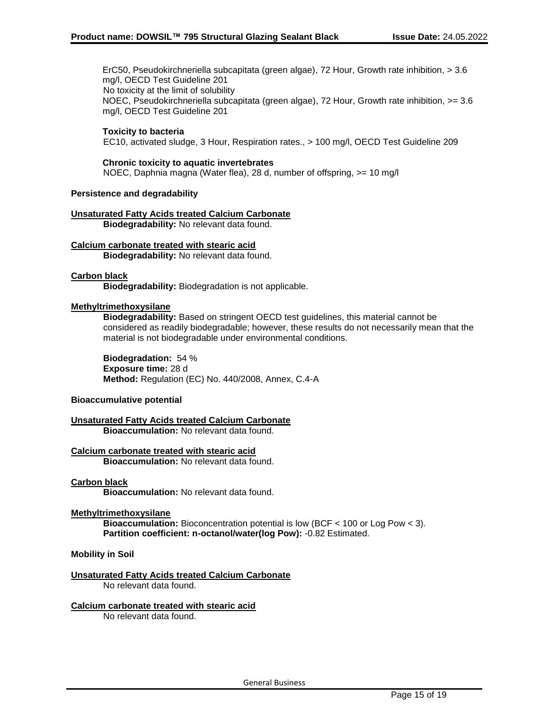ErC50, Pseudokirchneriella subcapitata (green algae), 72 Hour, Growth rate inhibition, > 3.6 mg/l, OECD Test Guideline 201 No toxicity at the limit of solubility NOEC, Pseudokirchneriella subcapitata (green algae), 72 Hour, Growth rate inhibition, >= 3.6 mg/l, OECD Test Guideline 201

## **Toxicity to bacteria**

EC10, activated sludge, 3 Hour, Respiration rates., > 100 mg/l, OECD Test Guideline 209

## **Chronic toxicity to aquatic invertebrates**

NOEC, Daphnia magna (Water flea), 28 d, number of offspring, >= 10 mg/l

## **Persistence and degradability**

#### **Unsaturated Fatty Acids treated Calcium Carbonate Biodegradability:** No relevant data found.

# **Calcium carbonate treated with stearic acid**

**Biodegradability:** No relevant data found.

## **Carbon black**

**Biodegradability:** Biodegradation is not applicable.

## **Methyltrimethoxysilane**

**Biodegradability:** Based on stringent OECD test guidelines, this material cannot be considered as readily biodegradable; however, these results do not necessarily mean that the material is not biodegradable under environmental conditions.

**Biodegradation:** 54 % **Exposure time:** 28 d **Method:** Regulation (EC) No. 440/2008, Annex, C.4-A

#### **Bioaccumulative potential**

**Unsaturated Fatty Acids treated Calcium Carbonate Bioaccumulation:** No relevant data found.

#### **Calcium carbonate treated with stearic acid Bioaccumulation:** No relevant data found.

#### **Carbon black**

**Bioaccumulation:** No relevant data found.

#### **Methyltrimethoxysilane**

**Bioaccumulation:** Bioconcentration potential is low (BCF < 100 or Log Pow < 3). **Partition coefficient: n-octanol/water(log Pow):** -0.82 Estimated.

## **Mobility in Soil**

**Unsaturated Fatty Acids treated Calcium Carbonate** No relevant data found.

#### **Calcium carbonate treated with stearic acid**

No relevant data found.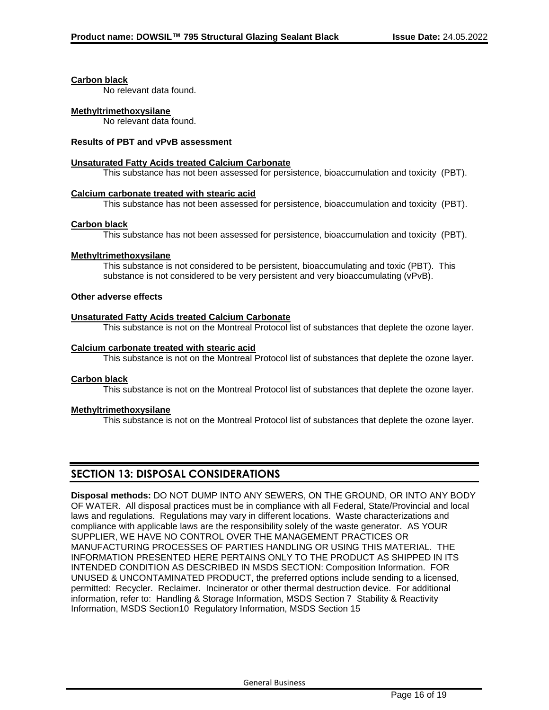#### **Carbon black**

No relevant data found.

## **Methyltrimethoxysilane**

No relevant data found.

## **Results of PBT and vPvB assessment**

## **Unsaturated Fatty Acids treated Calcium Carbonate**

This substance has not been assessed for persistence, bioaccumulation and toxicity (PBT).

## **Calcium carbonate treated with stearic acid**

This substance has not been assessed for persistence, bioaccumulation and toxicity (PBT).

## **Carbon black**

This substance has not been assessed for persistence, bioaccumulation and toxicity (PBT).

## **Methyltrimethoxysilane**

This substance is not considered to be persistent, bioaccumulating and toxic (PBT). This substance is not considered to be very persistent and very bioaccumulating (vPvB).

## **Other adverse effects**

## **Unsaturated Fatty Acids treated Calcium Carbonate**

This substance is not on the Montreal Protocol list of substances that deplete the ozone layer.

## **Calcium carbonate treated with stearic acid**

This substance is not on the Montreal Protocol list of substances that deplete the ozone layer.

#### **Carbon black**

This substance is not on the Montreal Protocol list of substances that deplete the ozone layer.

## **Methyltrimethoxysilane**

This substance is not on the Montreal Protocol list of substances that deplete the ozone layer.

# **SECTION 13: DISPOSAL CONSIDERATIONS**

**Disposal methods:** DO NOT DUMP INTO ANY SEWERS, ON THE GROUND, OR INTO ANY BODY OF WATER. All disposal practices must be in compliance with all Federal, State/Provincial and local laws and regulations. Regulations may vary in different locations. Waste characterizations and compliance with applicable laws are the responsibility solely of the waste generator. AS YOUR SUPPLIER, WE HAVE NO CONTROL OVER THE MANAGEMENT PRACTICES OR MANUFACTURING PROCESSES OF PARTIES HANDLING OR USING THIS MATERIAL. THE INFORMATION PRESENTED HERE PERTAINS ONLY TO THE PRODUCT AS SHIPPED IN ITS INTENDED CONDITION AS DESCRIBED IN MSDS SECTION: Composition Information. FOR UNUSED & UNCONTAMINATED PRODUCT, the preferred options include sending to a licensed, permitted: Recycler. Reclaimer. Incinerator or other thermal destruction device. For additional information, refer to: Handling & Storage Information, MSDS Section 7 Stability & Reactivity Information, MSDS Section10 Regulatory Information, MSDS Section 15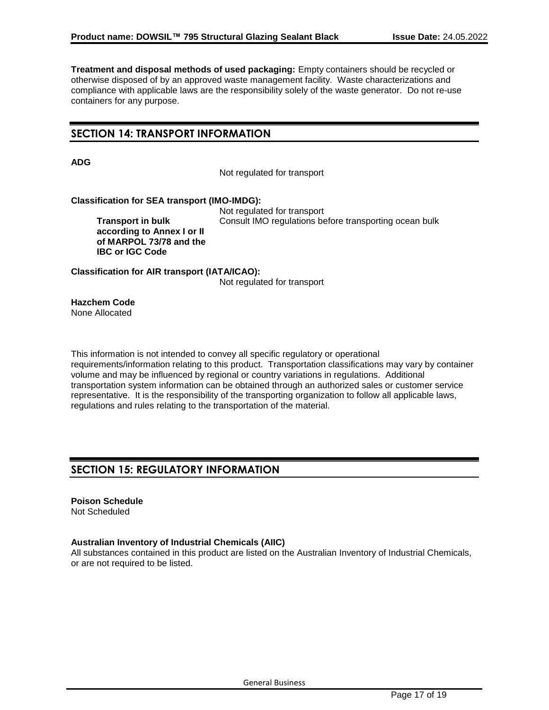**Treatment and disposal methods of used packaging:** Empty containers should be recycled or otherwise disposed of by an approved waste management facility. Waste characterizations and compliance with applicable laws are the responsibility solely of the waste generator. Do not re-use containers for any purpose.

# **SECTION 14: TRANSPORT INFORMATION**

**ADG**

Not regulated for transport

## **Classification for SEA transport (IMO-IMDG):**

**Transport in bulk according to Annex I or II of MARPOL 73/78 and the IBC or IGC Code**

Not regulated for transport Consult IMO regulations before transporting ocean bulk

**Classification for AIR transport (IATA/ICAO):** Not regulated for transport

**Hazchem Code** None Allocated

This information is not intended to convey all specific regulatory or operational requirements/information relating to this product. Transportation classifications may vary by container volume and may be influenced by regional or country variations in regulations. Additional transportation system information can be obtained through an authorized sales or customer service representative. It is the responsibility of the transporting organization to follow all applicable laws, regulations and rules relating to the transportation of the material.

# **SECTION 15: REGULATORY INFORMATION**

**Poison Schedule** Not Scheduled

## **Australian Inventory of Industrial Chemicals (AIIC)**

All substances contained in this product are listed on the Australian Inventory of Industrial Chemicals, or are not required to be listed.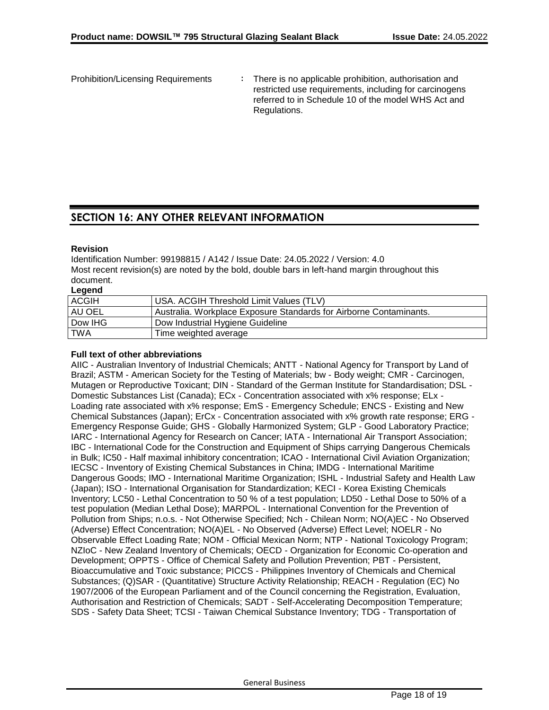Prohibition/Licensing Requirements **:** There is no applicable prohibition, authorisation and restricted use requirements, including for carcinogens referred to in Schedule 10 of the model WHS Act and Regulations.

# **SECTION 16: ANY OTHER RELEVANT INFORMATION**

## **Revision**

Identification Number: 99198815 / A142 / Issue Date: 24.05.2022 / Version: 4.0 Most recent revision(s) are noted by the bold, double bars in left-hand margin throughout this document.

**Legend**

| <b>ACGIH</b> | <b>USA. ACGIH Threshold Limit Values (TLV)</b>                     |
|--------------|--------------------------------------------------------------------|
| AU OEL       | Australia. Workplace Exposure Standards for Airborne Contaminants. |
| Dow IHG      | Dow Industrial Hygiene Guideline                                   |
| TWA          | Time weighted average                                              |

## **Full text of other abbreviations**

AIIC - Australian Inventory of Industrial Chemicals; ANTT - National Agency for Transport by Land of Brazil; ASTM - American Society for the Testing of Materials; bw - Body weight; CMR - Carcinogen, Mutagen or Reproductive Toxicant; DIN - Standard of the German Institute for Standardisation; DSL - Domestic Substances List (Canada); ECx - Concentration associated with x% response; ELx - Loading rate associated with x% response; EmS - Emergency Schedule; ENCS - Existing and New Chemical Substances (Japan); ErCx - Concentration associated with x% growth rate response; ERG - Emergency Response Guide; GHS - Globally Harmonized System; GLP - Good Laboratory Practice; IARC - International Agency for Research on Cancer; IATA - International Air Transport Association; IBC - International Code for the Construction and Equipment of Ships carrying Dangerous Chemicals in Bulk; IC50 - Half maximal inhibitory concentration; ICAO - International Civil Aviation Organization; IECSC - Inventory of Existing Chemical Substances in China; IMDG - International Maritime Dangerous Goods; IMO - International Maritime Organization; ISHL - Industrial Safety and Health Law (Japan); ISO - International Organisation for Standardization; KECI - Korea Existing Chemicals Inventory; LC50 - Lethal Concentration to 50 % of a test population; LD50 - Lethal Dose to 50% of a test population (Median Lethal Dose); MARPOL - International Convention for the Prevention of Pollution from Ships; n.o.s. - Not Otherwise Specified; Nch - Chilean Norm; NO(A)EC - No Observed (Adverse) Effect Concentration; NO(A)EL - No Observed (Adverse) Effect Level; NOELR - No Observable Effect Loading Rate; NOM - Official Mexican Norm; NTP - National Toxicology Program; NZIoC - New Zealand Inventory of Chemicals; OECD - Organization for Economic Co-operation and Development; OPPTS - Office of Chemical Safety and Pollution Prevention; PBT - Persistent, Bioaccumulative and Toxic substance; PICCS - Philippines Inventory of Chemicals and Chemical Substances; (Q)SAR - (Quantitative) Structure Activity Relationship; REACH - Regulation (EC) No 1907/2006 of the European Parliament and of the Council concerning the Registration, Evaluation, Authorisation and Restriction of Chemicals; SADT - Self-Accelerating Decomposition Temperature; SDS - Safety Data Sheet; TCSI - Taiwan Chemical Substance Inventory; TDG - Transportation of